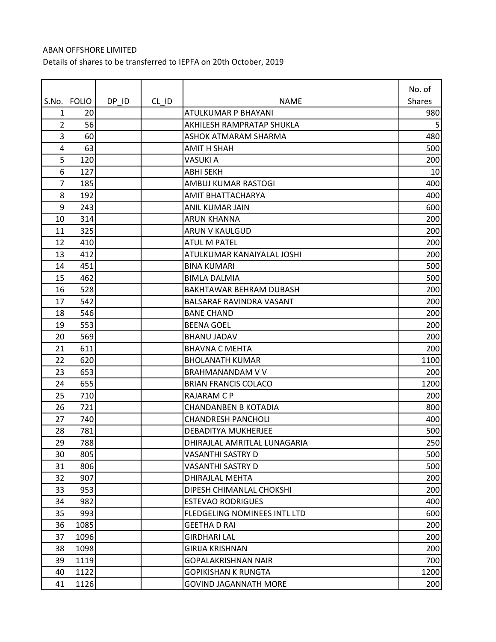## ABAN OFFSHORE LIMITED Details of shares to be transferred to IEPFA on 20th October, 2019

| S.No. | <b>FOLIO</b> | DP ID | $CL$ ID | <b>NAME</b>                     | No. of<br><b>Shares</b> |
|-------|--------------|-------|---------|---------------------------------|-------------------------|
| 1     | 20           |       |         | ATULKUMAR P BHAYANI             | 980                     |
| 2     | 56           |       |         | AKHILESH RAMPRATAP SHUKLA       | 5                       |
| 3     | 60           |       |         | ASHOK ATMARAM SHARMA            | 480                     |
| 4     | 63           |       |         | <b>AMIT H SHAH</b>              | 500                     |
| 5     | 120          |       |         | <b>VASUKI A</b>                 | 200                     |
| 6     | 127          |       |         | <b>ABHI SEKH</b>                | 10                      |
| 7     | 185          |       |         | AMBUJ KUMAR RASTOGI             | 400                     |
| 8     | 192          |       |         | AMIT BHATTACHARYA               | 400                     |
| 9     | 243          |       |         | ANIL KUMAR JAIN                 | 600                     |
| 10    | 314          |       |         | ARUN KHANNA                     | 200                     |
| 11    | 325          |       |         | ARUN V KAULGUD                  | 200                     |
| 12    | 410          |       |         | <b>ATUL M PATEL</b>             | 200                     |
| 13    | 412          |       |         | ATULKUMAR KANAIYALAL JOSHI      | 200                     |
| 14    | 451          |       |         | <b>BINA KUMARI</b>              | 500                     |
| 15    | 462          |       |         | <b>BIMLA DALMIA</b>             | 500                     |
| 16    | 528          |       |         | BAKHTAWAR BEHRAM DUBASH         | 200                     |
| 17    | 542          |       |         | <b>BALSARAF RAVINDRA VASANT</b> | 200                     |
| 18    | 546          |       |         | <b>BANE CHAND</b>               | 200                     |
| 19    | 553          |       |         | <b>BEENA GOEL</b>               | 200                     |
| 20    | 569          |       |         | <b>BHANU JADAV</b>              | 200                     |
| 21    | 611          |       |         | <b>BHAVNA C MEHTA</b>           | 200                     |
| 22    | 620          |       |         | <b>BHOLANATH KUMAR</b>          | 1100                    |
| 23    | 653          |       |         | <b>BRAHMANANDAM V V</b>         | 200                     |
| 24    | 655          |       |         | <b>BRIAN FRANCIS COLACO</b>     | 1200                    |
| 25    | 710          |       |         | <b>RAJARAM C P</b>              | 200                     |
| 26    | 721          |       |         | <b>CHANDANBEN B KOTADIA</b>     | 800                     |
| 27    | 740          |       |         | <b>CHANDRESH PANCHOLI</b>       | 400                     |
| 28    | 781          |       |         | <b>DEBADITYA MUKHERJEE</b>      | 500                     |
| 29    | 788          |       |         | DHIRAJLAL AMRITLAL LUNAGARIA    | 250                     |
| 30    | 805          |       |         | VASANTHI SASTRY D               | 500                     |
| 31    | 806          |       |         | VASANTHI SASTRY D               | 500                     |
| 32    | 907          |       |         | DHIRAJLAL MEHTA                 | 200                     |
| 33    | 953          |       |         | DIPESH CHIMANLAL CHOKSHI        | 200                     |
| 34    | 982          |       |         | <b>ESTEVAO RODRIGUES</b>        | 400                     |
| 35    | 993          |       |         | FLEDGELING NOMINEES INTL LTD    | 600                     |
| 36    | 1085         |       |         | <b>GEETHA D RAI</b>             | 200                     |
| 37    | 1096         |       |         | <b>GIRDHARI LAL</b>             | 200                     |
| 38    | 1098         |       |         | GIRIJA KRISHNAN                 | 200                     |
| 39    | 1119         |       |         | GOPALAKRISHNAN NAIR             | 700                     |
| 40    | 1122         |       |         | <b>GOPIKISHAN K RUNGTA</b>      | 1200                    |
| 41    | 1126         |       |         | <b>GOVIND JAGANNATH MORE</b>    | 200                     |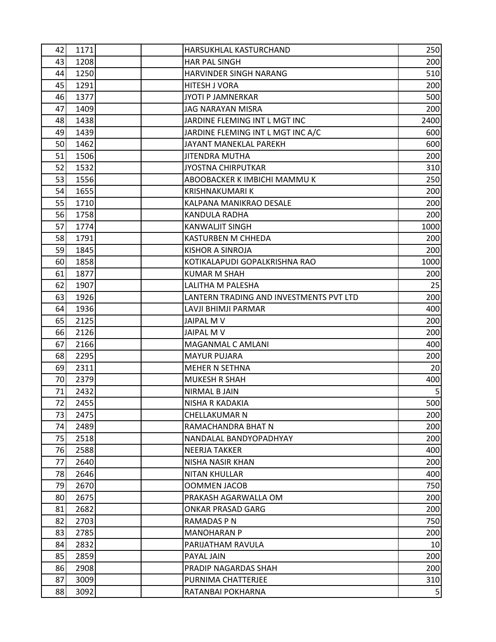| 42 | 1171 | HARSUKHLAL KASTURCHAND                  | 250            |
|----|------|-----------------------------------------|----------------|
| 43 | 1208 | <b>HAR PAL SINGH</b>                    | 200            |
| 44 | 1250 | HARVINDER SINGH NARANG                  | 510            |
| 45 | 1291 | <b>HITESH J VORA</b>                    | 200            |
| 46 | 1377 | <b>JYOTI P JAMNERKAR</b>                | 500            |
| 47 | 1409 | JAG NARAYAN MISRA                       | 200            |
| 48 | 1438 | JARDINE FLEMING INT L MGT INC           | 2400           |
| 49 | 1439 | JARDINE FLEMING INT L MGT INC A/C       | 600            |
| 50 | 1462 | <b>JAYANT MANEKLAL PAREKH</b>           | 600            |
| 51 | 1506 | <b>JITENDRA MUTHA</b>                   | 200            |
| 52 | 1532 | <b>JYOSTNA CHIRPUTKAR</b>               | 310            |
| 53 | 1556 | ABOOBACKER K IMBICHI MAMMU K            | 250            |
| 54 | 1655 | <b>KRISHNAKUMARI K</b>                  | 200            |
| 55 | 1710 | KALPANA MANIKRAO DESALE                 | 200            |
| 56 | 1758 | KANDULA RADHA                           | 200            |
| 57 | 1774 | <b>KANWALJIT SINGH</b>                  | 1000           |
| 58 | 1791 | KASTURBEN M CHHEDA                      | 200            |
| 59 | 1845 | KISHOR A SINROJA                        | 200            |
| 60 | 1858 | KOTIKALAPUDI GOPALKRISHNA RAO           | 1000           |
| 61 | 1877 | <b>KUMAR M SHAH</b>                     | 200            |
| 62 | 1907 | LALITHA M PALESHA                       | 25             |
| 63 | 1926 | LANTERN TRADING AND INVESTMENTS PVT LTD | 200            |
| 64 | 1936 | LAVJI BHIMJI PARMAR                     | 400            |
| 65 | 2125 | <b>JAIPAL MV</b>                        | 200            |
| 66 | 2126 | JAIPAL M V                              | 200            |
| 67 | 2166 | MAGANMAL C AMLANI                       | 400            |
| 68 | 2295 | <b>MAYUR PUJARA</b>                     | 200            |
| 69 | 2311 | <b>MEHER N SETHNA</b>                   | 20             |
| 70 | 2379 | <b>MUKESH R SHAH</b>                    | 400            |
| 71 | 2432 | <b>NIRMAL B JAIN</b>                    | 5 <sub>l</sub> |
| 72 | 2455 | NISHA R KADAKIA                         | 500            |
| 73 | 2475 | <b>CHELLAKUMAR N</b>                    | 200            |
| 74 | 2489 | RAMACHANDRA BHAT N                      | 200            |
| 75 | 2518 | NANDALAL BANDYOPADHYAY                  | 200            |
| 76 | 2588 | <b>NEERJA TAKKER</b>                    | 400            |
| 77 | 2640 | <b>NISHA NASIR KHAN</b>                 | 200            |
| 78 | 2646 | <b>NITAN KHULLAR</b>                    | 400            |
| 79 | 2670 | <b>OOMMEN JACOB</b>                     | 750            |
| 80 | 2675 | PRAKASH AGARWALLA OM                    | 200            |
| 81 | 2682 | <b>ONKAR PRASAD GARG</b>                | 200            |
| 82 | 2703 | RAMADAS P N                             | 750            |
| 83 | 2785 | <b>MANOHARAN P</b>                      | 200            |
| 84 | 2832 | PARIJATHAM RAVULA                       | 10             |
| 85 | 2859 | PAYAL JAIN                              | 200            |
| 86 | 2908 | PRADIP NAGARDAS SHAH                    | 200            |
| 87 | 3009 | PURNIMA CHATTERJEE                      | 310            |
| 88 | 3092 | RATANBAI POKHARNA                       | 5 <sub>l</sub> |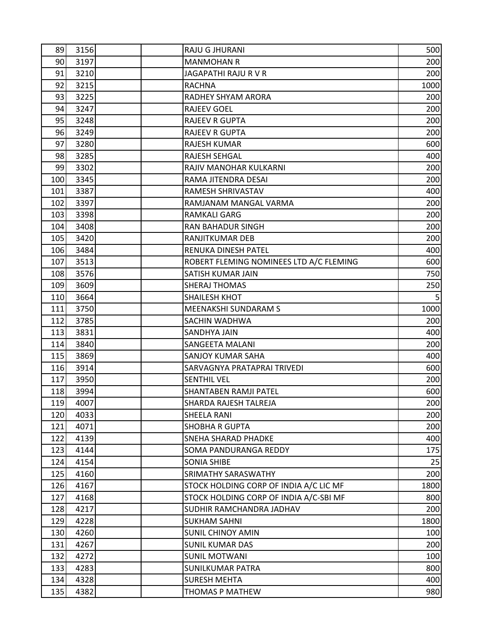| 89  | 3156 | RAJU G JHURANI                          | 500             |
|-----|------|-----------------------------------------|-----------------|
| 90  | 3197 | <b>MANMOHAN R</b>                       | 200             |
| 91  | 3210 | JAGAPATHI RAJU R V R                    | 200             |
| 92  | 3215 | <b>RACHNA</b>                           | 1000            |
| 93  | 3225 | RADHEY SHYAM ARORA                      | 200             |
| 94  | 3247 | <b>RAJEEV GOEL</b>                      | 200             |
| 95  | 3248 | <b>RAJEEV R GUPTA</b>                   | 200             |
| 96  | 3249 | <b>RAJEEV R GUPTA</b>                   | 200             |
| 97  | 3280 | RAJESH KUMAR                            | 600             |
| 98  | 3285 | <b>RAJESH SEHGAL</b>                    | 400             |
| 99  | 3302 | RAJIV MANOHAR KULKARNI                  | 200             |
| 100 | 3345 | RAMA JITENDRA DESAI                     | 200             |
| 101 | 3387 | RAMESH SHRIVASTAV                       | 400             |
| 102 | 3397 | RAMJANAM MANGAL VARMA                   | 200             |
| 103 | 3398 | RAMKALI GARG                            | 200             |
| 104 | 3408 | <b>RAN BAHADUR SINGH</b>                | 200             |
| 105 | 3420 | RANJITKUMAR DEB                         | 200             |
| 106 | 3484 | RENUKA DINESH PATEL                     | 400             |
| 107 | 3513 | ROBERT FLEMING NOMINEES LTD A/C FLEMING | 600             |
| 108 | 3576 | SATISH KUMAR JAIN                       | 750             |
| 109 | 3609 | <b>SHERAJ THOMAS</b>                    | 250             |
| 110 | 3664 | <b>SHAILESH KHOT</b>                    | $5\overline{)}$ |
| 111 | 3750 | MEENAKSHI SUNDARAM S                    | 1000            |
| 112 | 3785 | SACHIN WADHWA                           | 200             |
| 113 | 3831 | SANDHYA JAIN                            | 400             |
| 114 | 3840 | <b>SANGEETA MALANI</b>                  | 200             |
| 115 | 3869 | SANJOY KUMAR SAHA                       | 400             |
| 116 | 3914 | SARVAGNYA PRATAPRAI TRIVEDI             | 600             |
| 117 | 3950 | <b>SENTHIL VEL</b>                      | 200             |
| 118 | 3994 | SHANTABEN RAMJI PATEL                   | 600             |
| 119 | 4007 | SHARDA RAJESH TALREJA                   | 200             |
| 120 | 4033 | <b>SHEELA RANI</b>                      | 200             |
| 121 | 4071 | <b>SHOBHA R GUPTA</b>                   | 200             |
| 122 | 4139 | <b>SNEHA SHARAD PHADKE</b>              | 400             |
| 123 | 4144 | SOMA PANDURANGA REDDY                   | 175             |
| 124 | 4154 | <b>SONIA SHIBE</b>                      | 25              |
| 125 | 4160 | SRIMATHY SARASWATHY                     | 200             |
| 126 | 4167 | STOCK HOLDING CORP OF INDIA A/C LIC MF  | 1800            |
| 127 | 4168 | STOCK HOLDING CORP OF INDIA A/C-SBI MF  | 800             |
| 128 | 4217 | SUDHIR RAMCHANDRA JADHAV                | 200             |
| 129 | 4228 | <b>SUKHAM SAHNI</b>                     | 1800            |
| 130 | 4260 | <b>SUNIL CHINOY AMIN</b>                | 100             |
| 131 | 4267 | <b>SUNIL KUMAR DAS</b>                  | 200             |
| 132 | 4272 | <b>SUNIL MOTWANI</b>                    | 100             |
| 133 | 4283 | <b>SUNILKUMAR PATRA</b>                 | 800             |
| 134 | 4328 | <b>SURESH MEHTA</b>                     | 400             |
| 135 | 4382 | THOMAS P MATHEW                         | 980             |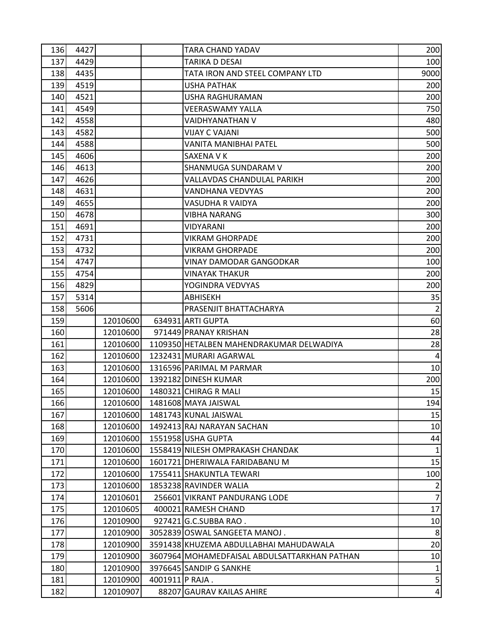| 136 | 4427 |          |                 | TARA CHAND YADAV                             | 200             |
|-----|------|----------|-----------------|----------------------------------------------|-----------------|
| 137 | 4429 |          |                 | TARIKA D DESAI                               | 100             |
| 138 | 4435 |          |                 | TATA IRON AND STEEL COMPANY LTD              | 9000            |
| 139 | 4519 |          |                 | <b>USHA PATHAK</b>                           | 200             |
| 140 | 4521 |          |                 | USHA RAGHURAMAN                              | 200             |
| 141 | 4549 |          |                 | VEERASWAMY YALLA                             | 750             |
| 142 | 4558 |          |                 | VAIDHYANATHAN V                              | 480             |
| 143 | 4582 |          |                 | VIJAY C VAJANI                               | 500             |
| 144 | 4588 |          |                 | VANITA MANIBHAI PATEL                        | 500             |
| 145 | 4606 |          |                 | SAXENA V K                                   | 200             |
| 146 | 4613 |          |                 | SHANMUGA SUNDARAM V                          | 200             |
| 147 | 4626 |          |                 | VALLAVDAS CHANDULAL PARIKH                   | 200             |
| 148 | 4631 |          |                 | VANDHANA VEDVYAS                             | 200             |
| 149 | 4655 |          |                 | VASUDHA R VAIDYA                             | 200             |
| 150 | 4678 |          |                 | VIBHA NARANG                                 | 300             |
| 151 | 4691 |          |                 | VIDYARANI                                    | 200             |
| 152 | 4731 |          |                 | <b>VIKRAM GHORPADE</b>                       | 200             |
| 153 | 4732 |          |                 | <b>VIKRAM GHORPADE</b>                       | 200             |
| 154 | 4747 |          |                 | <b>VINAY DAMODAR GANGODKAR</b>               | 100             |
| 155 | 4754 |          |                 | VINAYAK THAKUR                               | 200             |
| 156 | 4829 |          |                 | YOGINDRA VEDVYAS                             | 200             |
| 157 | 5314 |          |                 | ABHISEKH                                     | 35              |
| 158 | 5606 |          |                 | PRASENJIT BHATTACHARYA                       | $\overline{2}$  |
| 159 |      | 12010600 |                 | 634931 ARTI GUPTA                            | 60              |
| 160 |      | 12010600 |                 | 971449 PRANAY KRISHAN                        | 28              |
| 161 |      | 12010600 |                 | 1109350 HETALBEN MAHENDRAKUMAR DELWADIYA     | 28              |
| 162 |      | 12010600 |                 | 1232431 MURARI AGARWAL                       | $\sqrt{4}$      |
| 163 |      | 12010600 |                 | 1316596 PARIMAL M PARMAR                     | 10              |
| 164 |      | 12010600 |                 | 1392182 DINESH KUMAR                         | 200             |
| 165 |      | 12010600 |                 | 1480321 CHIRAG R MALI                        | 15              |
| 166 |      | 12010600 |                 | 1481608 MAYA JAISWAL                         | 194             |
| 167 |      | 12010600 |                 | 1481743 KUNAL JAISWAL                        | 15              |
| 168 |      | 12010600 |                 | 1492413 RAJ NARAYAN SACHAN                   | 10              |
| 169 |      | 12010600 |                 | 1551958 USHA GUPTA                           | 44              |
| 170 |      | 12010600 |                 | 1558419 NILESH OMPRAKASH CHANDAK             | $\mathbf{1}$    |
| 171 |      | 12010600 |                 | 1601721 DHERIWALA FARIDABANU M               | 15              |
| 172 |      | 12010600 |                 | 1755411 SHAKUNTLA TEWARI                     | 100             |
| 173 |      | 12010600 |                 | 1853238 RAVINDER WALIA                       | $\overline{2}$  |
| 174 |      | 12010601 |                 | 256601 VIKRANT PANDURANG LODE                | $\overline{7}$  |
| 175 |      | 12010605 |                 | 400021 RAMESH CHAND                          | 17              |
| 176 |      | 12010900 |                 | 927421 G.C.SUBBA RAO.                        | 10              |
| 177 |      | 12010900 |                 | 3052839 OSWAL SANGEETA MANOJ.                | 8               |
| 178 |      | 12010900 |                 | 3591438 KHUZEMA ABDULLABHAI MAHUDAWALA       | 20              |
| 179 |      | 12010900 |                 | 3607964 MOHAMEDFAISAL ABDULSATTARKHAN PATHAN | 10              |
| 180 |      | 12010900 |                 | 3976645 SANDIP G SANKHE                      | $1\,$           |
| 181 |      | 12010900 | 4001911 P RAJA. |                                              | $\overline{5}$  |
| 182 |      | 12010907 |                 | 88207 GAURAV KAILAS AHIRE                    | $\vert 4 \vert$ |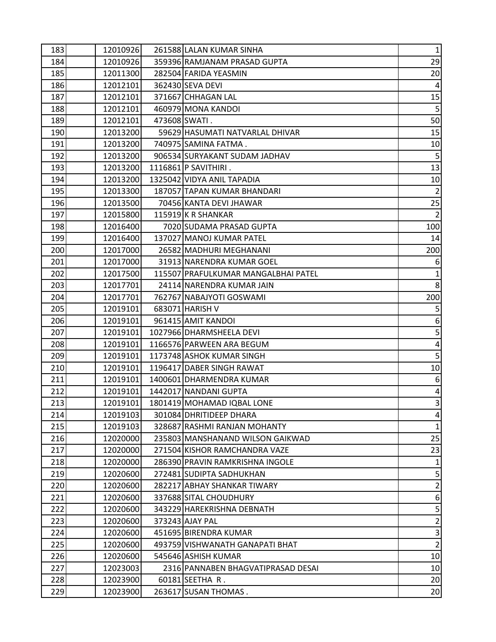| 183 | 12010926 | 261588 LALAN KUMAR SINHA            | $1\vert$         |
|-----|----------|-------------------------------------|------------------|
| 184 | 12010926 | 359396 RAMJANAM PRASAD GUPTA        | 29               |
| 185 | 12011300 | 282504 FARIDA YEASMIN               | 20               |
| 186 | 12012101 | 362430 SEVA DEVI                    |                  |
| 187 | 12012101 | 371667 CHHAGAN LAL                  | 15               |
| 188 | 12012101 | 460979 MONA KANDOI                  | 5 <sup>1</sup>   |
| 189 | 12012101 | 473608 SWATI.                       | 50               |
| 190 | 12013200 | 59629 HASUMATI NATVARLAL DHIVAR     | 15               |
| 191 | 12013200 | 740975 SAMINA FATMA.                | 10               |
| 192 | 12013200 | 906534 SURYAKANT SUDAM JADHAV       | 5 <sub>l</sub>   |
| 193 | 12013200 | 1116861 P SAVITHIRI.                | 13               |
| 194 | 12013200 | 1325042 VIDYA ANIL TAPADIA          | 10 <sup>1</sup>  |
| 195 | 12013300 | 187057 TAPAN KUMAR BHANDARI         | $\overline{2}$   |
| 196 | 12013500 | 70456 KANTA DEVI JHAWAR             | 25               |
| 197 | 12015800 | 115919 K R SHANKAR                  | $\overline{2}$   |
| 198 | 12016400 | 7020 SUDAMA PRASAD GUPTA            | 100              |
| 199 | 12016400 | 137027 MANOJ KUMAR PATEL            | 14               |
| 200 | 12017000 | 26582 MADHURI MEGHANANI             | 200              |
| 201 | 12017000 | 31913 NARENDRA KUMAR GOEL           | $6 \mid$         |
| 202 | 12017500 | 115507 PRAFULKUMAR MANGALBHAI PATEL | $\mathbf{1}$     |
| 203 | 12017701 | 24114 NARENDRA KUMAR JAIN           | 8 <sup>1</sup>   |
| 204 | 12017701 | 762767 NABAJYOTI GOSWAMI            | 200              |
| 205 | 12019101 | 683071 HARISH V                     | $\overline{5}$   |
| 206 | 12019101 | 961415 AMIT KANDOI                  | $6 \overline{6}$ |
| 207 | 12019101 | 1027966 DHARMSHEELA DEVI            | 5 <sup>1</sup>   |
| 208 | 12019101 | 1166576 PARWEEN ARA BEGUM           | $\overline{4}$   |
| 209 | 12019101 | 1173748 ASHOK KUMAR SINGH           | 5 <sup>1</sup>   |
| 210 | 12019101 | 1196417 DABER SINGH RAWAT           | 10               |
| 211 | 12019101 | 1400601 DHARMENDRA KUMAR            | $6 \overline{6}$ |
| 212 | 12019101 | 1442017 NANDANI GUPTA               | $\overline{4}$   |
| 213 | 12019101 | 1801419 MOHAMAD IQBAL LONE          | $\overline{3}$   |
| 214 | 12019103 | 301084 DHRITIDEEP DHARA             | $\vert$          |
| 215 | 12019103 | 328687 RASHMI RANJAN MOHANTY        |                  |
| 216 | 12020000 | 235803 MANSHANAND WILSON GAIKWAD    | 25               |
| 217 | 12020000 | 271504 KISHOR RAMCHANDRA VAZE       | 23               |
| 218 | 12020000 | 286390 PRAVIN RAMKRISHNA INGOLE     | $\mathbf{1}$     |
| 219 | 12020600 | 272481 SUDIPTA SADHUKHAN            | 5 <sup>1</sup>   |
| 220 | 12020600 | 282217 ABHAY SHANKAR TIWARY         | $\overline{2}$   |
| 221 | 12020600 | 337688 SITAL CHOUDHURY              | $6 \mid$         |
| 222 | 12020600 | 343229 HAREKRISHNA DEBNATH          | $\overline{5}$   |
| 223 | 12020600 | 373243 AJAY PAL                     | $\overline{2}$   |
| 224 | 12020600 | 451695 BIRENDRA KUMAR               | υ                |
| 225 | 12020600 | 493759 VISHWANATH GANAPATI BHAT     | $\overline{2}$   |
| 226 | 12020600 | 545646 ASHISH KUMAR                 | 10               |
| 227 | 12023003 | 2316 PANNABEN BHAGVATIPRASAD DESAI  | 10               |
| 228 | 12023900 | 60181 SEETHA R.                     | 20               |
| 229 | 12023900 | 263617 SUSAN THOMAS.                | 20               |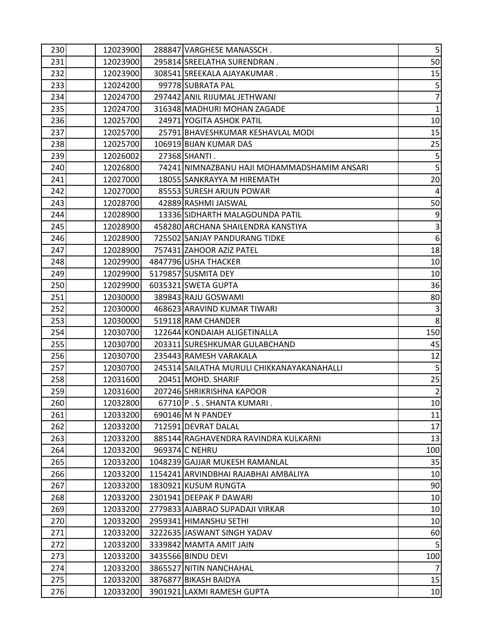| 230 | 12023900 | 288847 VARGHESE MANASSCH.                   | 5 <sub>l</sub>          |
|-----|----------|---------------------------------------------|-------------------------|
| 231 | 12023900 | 295814 SREELATHA SURENDRAN.                 | 50                      |
| 232 | 12023900 | 308541 SREEKALA AJAYAKUMAR.                 | 15                      |
| 233 | 12024200 | 99778 SUBRATA PAL                           | $\overline{5}$          |
| 234 | 12024700 | 297442 ANIL RIJUMAL JETHWANI                | $\overline{7}$          |
| 235 | 12024700 | 316348 MADHURI MOHAN ZAGADE                 | $\mathbf 1$             |
| 236 | 12025700 | 24971 YOGITA ASHOK PATIL                    | 10                      |
| 237 | 12025700 | 25791 BHAVESHKUMAR KESHAVLAL MODI           | 15                      |
| 238 | 12025700 | 106919 BIJAN KUMAR DAS                      | 25                      |
| 239 | 12026002 | 27368 SHANTI.                               | 5 <sup>1</sup>          |
| 240 | 12026800 | 74241 NIMNAZBANU HAJI MOHAMMADSHAMIM ANSARI | $\overline{\mathbf{5}}$ |
| 241 | 12027000 | 18055 SANKRAYYA M HIREMATH                  | 20                      |
| 242 | 12027000 | 85553 SURESH ARJUN POWAR                    | $\overline{4}$          |
| 243 | 12028700 | 42889 RASHMI JAISWAL                        | 50                      |
| 244 | 12028900 | 13336 SIDHARTH MALAGOUNDA PATIL             | $9$                     |
| 245 | 12028900 | 458280 ARCHANA SHAILENDRA KANSTIYA          | $\overline{3}$          |
| 246 | 12028900 | 725502 SANJAY PANDURANG TIDKE               | $6\,$                   |
| 247 | 12028900 | 757431 ZAHOOR AZIZ PATEL                    | 18                      |
| 248 | 12029900 | 4847796 USHA THACKER                        | 10                      |
| 249 | 12029900 | 5179857 SUSMITA DEY                         | 10                      |
| 250 | 12029900 | 6035321 SWETA GUPTA                         | 36                      |
| 251 | 12030000 | 389843 RAJU GOSWAMI                         | 80                      |
| 252 | 12030000 | 468623 ARAVIND KUMAR TIWARI                 | $\overline{3}$          |
| 253 | 12030000 | 519118 RAM CHANDER                          | $\boldsymbol{8}$        |
| 254 | 12030700 | 122644 KONDAIAH ALIGETINALLA                | 150                     |
| 255 | 12030700 | 203311 SURESHKUMAR GULABCHAND               | 45                      |
| 256 | 12030700 | 235443 RAMESH VARAKALA                      | 12                      |
| 257 | 12030700 | 245314 SAILATHA MURULI CHIKKANAYAKANAHALLI  | $5\phantom{.}$          |
| 258 | 12031600 | 20451 MOHD. SHARIF                          | 25                      |
| 259 | 12031600 | 207246 SHRIKRISHNA KAPOOR                   | $\overline{2}$          |
| 260 | 12032800 | 67710 P.S. SHANTA KUMARI.                   | 10                      |
| 261 | 12033200 | 690146 M N PANDEY                           | 11                      |
| 262 | 12033200 | 712591 DEVRAT DALAL                         | 17                      |
| 263 | 12033200 | 885144 RAGHAVENDRA RAVINDRA KULKARNI        | 13                      |
| 264 | 12033200 | 969374 C NEHRU                              | 100                     |
| 265 | 12033200 | 1048239 GAJJAR MUKESH RAMANLAL              | 35                      |
| 266 | 12033200 | 1154241 ARVINDBHAI RAJABHAI AMBALIYA        | 10                      |
| 267 | 12033200 | 1830921 KUSUM RUNGTA                        | 90                      |
| 268 | 12033200 | 2301941 DEEPAK P DAWARI                     | 10                      |
| 269 | 12033200 | 2779833 AJABRAO SUPADAJI VIRKAR             | 10                      |
| 270 | 12033200 | 2959341 HIMANSHU SETHI                      | 10                      |
| 271 | 12033200 | 3222635 JASWANT SINGH YADAV                 | 60                      |
| 272 | 12033200 | 3339842 MAMTA AMIT JAIN                     | 5 <sub>l</sub>          |
| 273 | 12033200 | 3435566 BINDU DEVI                          | 100                     |
| 274 | 12033200 | 3865527 NITIN NANCHAHAL                     | $\overline{7}$          |
| 275 | 12033200 | 3876877 BIKASH BAIDYA                       | 15                      |
| 276 | 12033200 | 3901921 LAXMI RAMESH GUPTA                  | 10 <sub>1</sub>         |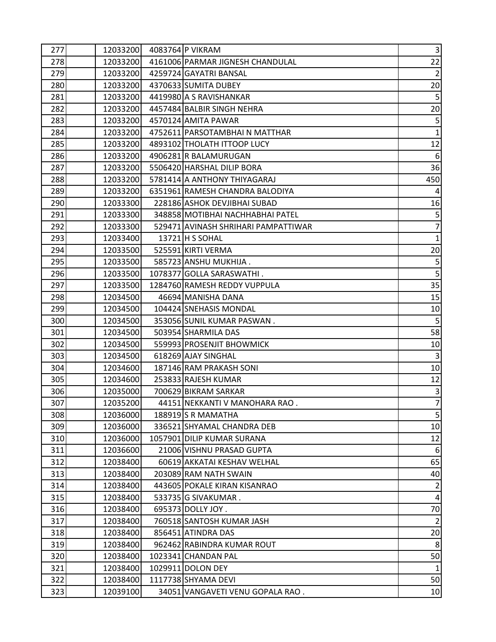| 277 | 12033200 | 4083764 P VIKRAM                    | $\vert$ 3               |
|-----|----------|-------------------------------------|-------------------------|
| 278 | 12033200 | 4161006 PARMAR JIGNESH CHANDULAL    | 22                      |
| 279 | 12033200 | 4259724 GAYATRI BANSAL              | $\overline{2}$          |
| 280 | 12033200 | 4370633 SUMITA DUBEY                | 20                      |
| 281 | 12033200 | 4419980 A S RAVISHANKAR             | $\overline{\mathbf{5}}$ |
| 282 | 12033200 | 4457484 BALBIR SINGH NEHRA          | 20                      |
| 283 | 12033200 | 4570124 AMITA PAWAR                 | 5 <sub>l</sub>          |
| 284 | 12033200 | 4752611 PARSOTAMBHAI N MATTHAR      | $\mathbf 1$             |
| 285 | 12033200 | 4893102 THOLATH ITTOOP LUCY         | 12                      |
| 286 | 12033200 | 4906281 R BALAMURUGAN               | $6 \overline{6}$        |
| 287 | 12033200 | 5506420 HARSHAL DILIP BORA          | 36                      |
| 288 | 12033200 | 5781414 A ANTHONY THIYAGARAJ        | 450                     |
| 289 | 12033200 | 6351961 RAMESH CHANDRA BALODIYA     |                         |
| 290 | 12033300 | 228186 ASHOK DEVJIBHAI SUBAD        | 16                      |
| 291 | 12033300 | 348858 MOTIBHAI NACHHABHAI PATEL    | 5 <sup>1</sup>          |
| 292 | 12033300 | 529471 AVINASH SHRIHARI PAMPATTIWAR | $\overline{7}$          |
| 293 | 12033400 | 13721 H S SOHAL                     | $\mathbf{1}$            |
| 294 | 12033500 | 525591 KIRTI VERMA                  | 20                      |
| 295 | 12033500 | 585723 ANSHU MUKHIJA.               | $\overline{5}$          |
| 296 | 12033500 | 1078377 GOLLA SARASWATHI.           | $\overline{5}$          |
| 297 | 12033500 | 1284760 RAMESH REDDY VUPPULA        | 35                      |
| 298 | 12034500 | 46694 MANISHA DANA                  | 15                      |
| 299 | 12034500 | 104424 SNEHASIS MONDAL              | 10                      |
| 300 | 12034500 | 353056 SUNIL KUMAR PASWAN.          | 5 <sup>1</sup>          |
| 301 | 12034500 | 503954 SHARMILA DAS                 | 58                      |
| 302 | 12034500 | 559993 PROSENJIT BHOWMICK           | 10 <sup>1</sup>         |
| 303 | 12034500 | 618269 AJAY SINGHAL                 | $\overline{3}$          |
| 304 | 12034600 | 187146 RAM PRAKASH SONI             | 10 <sup>1</sup>         |
| 305 | 12034600 | 253833 RAJESH KUMAR                 | 12                      |
| 306 | 12035000 | 700629 BIKRAM SARKAR                | $\overline{3}$          |
| 307 | 12035200 | 44151 NEKKANTI V MANOHARA RAO.      | $\overline{7}$          |
| 308 | 12036000 | 188919S R MAMATHA                   | 5 <sup>1</sup>          |
| 309 | 12036000 | 336521 SHYAMAL CHANDRA DEB          | 10                      |
| 310 | 12036000 | 1057901 DILIP KUMAR SURANA          | 12                      |
| 311 | 12036600 | 21006 VISHNU PRASAD GUPTA           | $6 \overline{6}$        |
| 312 | 12038400 | 60619 AKKATAI KESHAV WELHAL         | 65                      |
| 313 | 12038400 | 203089 RAM NATH SWAIN               | 40                      |
| 314 | 12038400 | 443605 POKALE KIRAN KISANRAO        | $\overline{2}$          |
| 315 | 12038400 | 533735 G SIVAKUMAR.                 | $\overline{4}$          |
| 316 | 12038400 | 695373 DOLLY JOY.                   | 70                      |
| 317 | 12038400 | 760518 SANTOSH KUMAR JASH           | $\overline{2}$          |
| 318 | 12038400 | 856451 ATINDRA DAS                  | 20                      |
| 319 | 12038400 | 962462 RABINDRA KUMAR ROUT          | 8 <sup>1</sup>          |
| 320 | 12038400 | 1023341 CHANDAN PAL                 | 50                      |
| 321 | 12038400 | 1029911 DOLON DEY                   | 1                       |
| 322 | 12038400 | 1117738 SHYAMA DEVI                 | 50                      |
| 323 | 12039100 | 34051 VANGAVETI VENU GOPALA RAO.    | 10                      |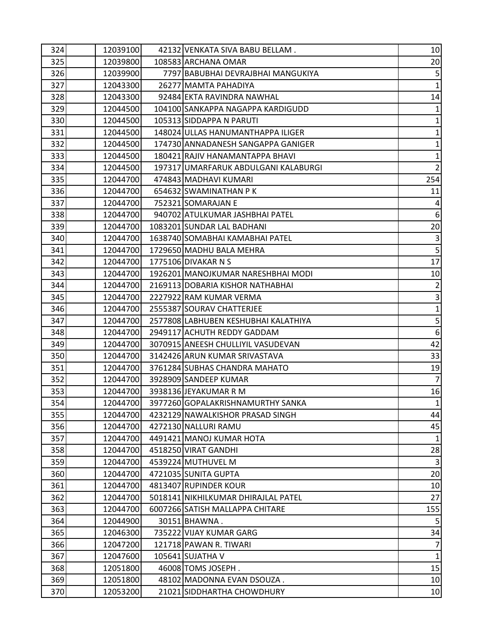| 324 | 12039100 | 42132 VENKATA SIVA BABU BELLAM.      | 10 <sub>l</sub>         |
|-----|----------|--------------------------------------|-------------------------|
| 325 | 12039800 | 108583 ARCHANA OMAR                  | 20                      |
| 326 | 12039900 | 7797 BABUBHAI DEVRAJBHAI MANGUKIYA   | 5 <sup>1</sup>          |
| 327 | 12043300 | 26277 MAMTA PAHADIYA                 | $\mathbf{1}$            |
| 328 | 12043300 | 92484 EKTA RAVINDRA NAWHAL           | 14                      |
| 329 | 12044500 | 104100 SANKAPPA NAGAPPA KARDIGUDD    | $\mathbf{1}$            |
| 330 | 12044500 | 105313 SIDDAPPA N PARUTI             | $\mathbf{1}$            |
| 331 | 12044500 | 148024 ULLAS HANUMANTHAPPA ILIGER    | $\mathbf{1}$            |
| 332 | 12044500 | 174730 ANNADANESH SANGAPPA GANIGER   | $\mathbf{1}$            |
| 333 | 12044500 | 180421 RAJIV HANAMANTAPPA BHAVI      | $\mathbf{1}$            |
| 334 | 12044500 | 197317 UMARFARUK ABDULGANI KALABURGI | $\overline{2}$          |
| 335 | 12044700 | 474843 MADHAVI KUMARI                | 254                     |
| 336 | 12044700 | 654632 SWAMINATHAN PK                | 11                      |
| 337 | 12044700 | 752321 SOMARAJAN E                   | $\vert$                 |
| 338 | 12044700 | 940702 ATULKUMAR JASHBHAI PATEL      | $6 \overline{6}$        |
| 339 | 12044700 | 1083201 SUNDAR LAL BADHANI           | 20 <sub>2</sub>         |
| 340 | 12044700 | 1638740 SOMABHAI KAMABHAI PATEL      | $\overline{3}$          |
| 341 | 12044700 | 1729650 MADHU BALA MEHRA             | $\overline{\mathbf{5}}$ |
| 342 | 12044700 | 1775106 DIVAKAR N S                  | 17                      |
| 343 | 12044700 | 1926201 MANOJKUMAR NARESHBHAI MODI   | 10                      |
| 344 | 12044700 | 2169113 DOBARIA KISHOR NATHABHAI     | $\overline{2}$          |
| 345 | 12044700 | 2227922 RAM KUMAR VERMA              | $\overline{3}$          |
| 346 | 12044700 | 2555387 SOURAV CHATTERJEE            | $\mathbf{1}$            |
| 347 | 12044700 | 2577808 LABHUBEN KESHUBHAI KALATHIYA | $\overline{5}$          |
| 348 | 12044700 | 2949117 ACHUTH REDDY GADDAM          | $\sqrt{6}$              |
| 349 | 12044700 | 3070915 ANEESH CHULLIYIL VASUDEVAN   | 42                      |
| 350 | 12044700 | 3142426 ARUN KUMAR SRIVASTAVA        | 33                      |
| 351 | 12044700 | 3761284 SUBHAS CHANDRA MAHATO        | 19                      |
| 352 | 12044700 | 3928909 SANDEEP KUMAR                | $\overline{7}$          |
| 353 | 12044700 | 3938136 JEYAKUMAR R M                | 16                      |
| 354 | 12044700 | 3977260 GOPALAKRISHNAMURTHY SANKA    | $\mathbf{1}$            |
| 355 | 12044700 | 4232129 NAWALKISHOR PRASAD SINGH     | 44                      |
| 356 | 12044700 | 4272130 NALLURI RAMU                 | 45                      |
| 357 | 12044700 | 4491421 MANOJ KUMAR HOTA             | $\mathbf{1}$            |
| 358 | 12044700 | 4518250 VIRAT GANDHI                 | 28                      |
| 359 | 12044700 | 4539224 MUTHUVEL M                   | $\overline{3}$          |
| 360 | 12044700 | 4721035 SUNITA GUPTA                 | 20                      |
| 361 | 12044700 | 4813407 RUPINDER KOUR                | 10                      |
| 362 | 12044700 | 5018141 NIKHILKUMAR DHIRAJLAL PATEL  | 27                      |
| 363 | 12044700 | 6007266 SATISH MALLAPPA CHITARE      | 155                     |
| 364 | 12044900 | 30151 BHAWNA.                        | 5                       |
| 365 | 12046300 | 735222 VIJAY KUMAR GARG              | 34                      |
| 366 | 12047200 | 121718 PAWAN R. TIWARI               | $\overline{7}$          |
| 367 | 12047600 | 105641 SUJATHA V                     | $\mathbf{1}$            |
| 368 | 12051800 | 46008 TOMS JOSEPH.                   | 15                      |
| 369 | 12051800 | 48102 MADONNA EVAN DSOUZA.           | 10                      |
| 370 | 12053200 | 21021 SIDDHARTHA CHOWDHURY           | 10 <sub>1</sub>         |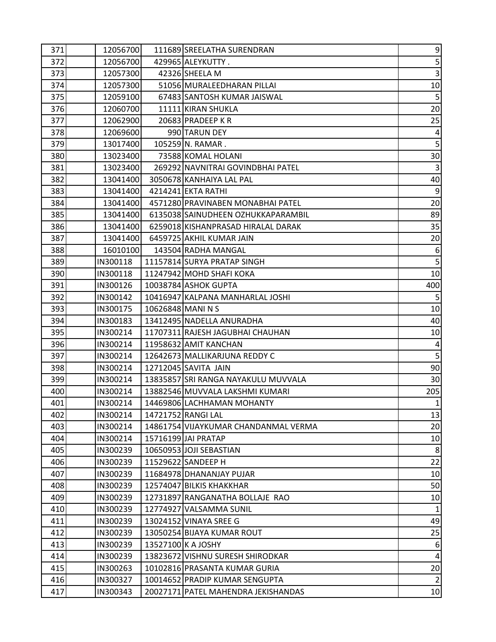| 371 | 12056700 |                 | 111689 SREELATHA SURENDRAN           | $\overline{9}$   |
|-----|----------|-----------------|--------------------------------------|------------------|
| 372 | 12056700 |                 | 429965 ALEYKUTTY.                    | $\overline{5}$   |
| 373 | 12057300 |                 | 42326 SHEELA M                       | $\overline{3}$   |
| 374 | 12057300 |                 | 51056 MURALEEDHARAN PILLAI           | 10 <sup>1</sup>  |
| 375 | 12059100 |                 | 67483 SANTOSH KUMAR JAISWAL          | $\overline{5}$   |
| 376 | 12060700 |                 | 11111 KIRAN SHUKLA                   | 20               |
| 377 | 12062900 |                 | 20683 PRADEEP KR                     | 25               |
| 378 | 12069600 |                 | 990 TARUN DEY                        | $\overline{4}$   |
| 379 | 13017400 |                 | 105259 N. RAMAR.                     | 5 <sup>1</sup>   |
| 380 | 13023400 |                 | 73588 KOMAL HOLANI                   | 30               |
| 381 | 13023400 |                 | 269292 NAVNITRAI GOVINDBHAI PATEL    | $\overline{3}$   |
| 382 | 13041400 |                 | 3050678 KANHAIYA LAL PAL             | 40               |
| 383 | 13041400 |                 | 4214241 EKTA RATHI                   | $9\,$            |
| 384 | 13041400 |                 | 4571280 PRAVINABEN MONABHAI PATEL    | 20               |
| 385 | 13041400 |                 | 6135038 SAINUDHEEN OZHUKKAPARAMBIL   | 89               |
| 386 | 13041400 |                 | 6259018 KISHANPRASAD HIRALAL DARAK   | 35               |
| 387 | 13041400 |                 | 6459725 AKHIL KUMAR JAIN             | 20               |
| 388 | 16010100 |                 | 143504 RADHA MANGAL                  | $6 \overline{6}$ |
| 389 | IN300118 |                 | 11157814 SURYA PRATAP SINGH          | 5 <sup>1</sup>   |
| 390 | IN300118 |                 | 11247942 MOHD SHAFI KOKA             | 10               |
| 391 | IN300126 |                 | 10038784 ASHOK GUPTA                 | 400              |
| 392 | IN300142 |                 | 10416947 KALPANA MANHARLAL JOSHI     | 5 <sup>1</sup>   |
| 393 | IN300175 | 10626848 MANINS |                                      | 10               |
| 394 | IN300183 |                 | 13412495 NADELLA ANURADHA            | 40               |
| 395 | IN300214 |                 | 11707311 RAJESH JAGUBHAI CHAUHAN     | 10               |
| 396 | IN300214 |                 | 11958632 AMIT KANCHAN                | $\overline{4}$   |
| 397 | IN300214 |                 | 12642673 MALLIKARJUNA REDDY C        | $\overline{5}$   |
| 398 | IN300214 |                 | 12712045 SAVITA JAIN                 | 90               |
| 399 | IN300214 |                 | 13835857 SRI RANGA NAYAKULU MUVVALA  | 30               |
| 400 | IN300214 |                 | 13882546 MUVVALA LAKSHMI KUMARI      | 205              |
| 401 | IN300214 |                 | 14469806 LACHHAMAN MOHANTY           | $1\overline{ }$  |
| 402 | IN300214 |                 | 14721752 RANGI LAL                   | 13               |
| 403 | IN300214 |                 | 14861754 VIJAYKUMAR CHANDANMAL VERMA | 20               |
| 404 | IN300214 |                 | 15716199 JAI PRATAP                  | 10               |
| 405 | IN300239 |                 | 10650953 JOJI SEBASTIAN              | 8                |
| 406 | IN300239 |                 | 11529622 SANDEEP H                   | 22               |
| 407 | IN300239 |                 | 11684978 DHANANJAY PUJAR             | 10               |
| 408 | IN300239 |                 | 12574047 BILKIS KHAKKHAR             | 50               |
| 409 | IN300239 |                 | 12731897 RANGANATHA BOLLAJE RAO      | 10               |
| 410 | IN300239 |                 | 12774927 VALSAMMA SUNIL              | $\mathbf{1}$     |
| 411 | IN300239 |                 | 13024152 VINAYA SREE G               | 49               |
| 412 | IN300239 |                 | 13050254 BIJAYA KUMAR ROUT           | 25               |
| 413 | IN300239 |                 | 13527100 K A JOSHY                   | $6 \overline{6}$ |
| 414 | IN300239 |                 | 13823672 VISHNU SURESH SHIRODKAR     | $\overline{4}$   |
| 415 | IN300263 |                 | 10102816 PRASANTA KUMAR GURIA        | 20 <sub>2</sub>  |
| 416 | IN300327 |                 | 10014652 PRADIP KUMAR SENGUPTA       | $\overline{2}$   |
| 417 | IN300343 |                 | 20027171 PATEL MAHENDRA JEKISHANDAS  | 10 <sub>1</sub>  |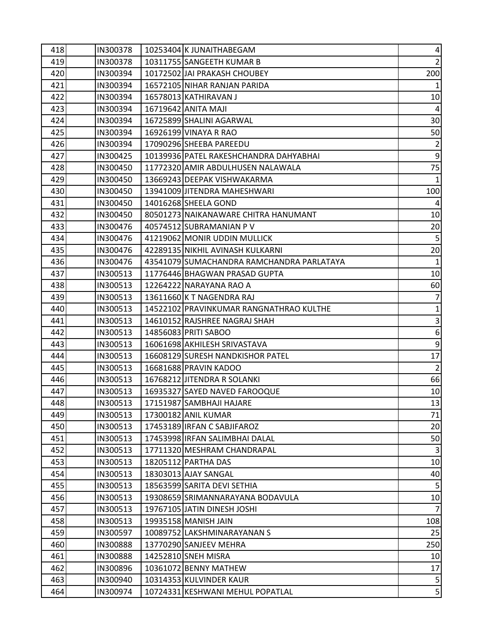| 418 | IN300378 | 10253404 K JUNAITHABEGAM                  | $\vert 4 \vert$  |
|-----|----------|-------------------------------------------|------------------|
| 419 | IN300378 | 10311755 SANGEETH KUMAR B                 | $\overline{2}$   |
| 420 | IN300394 | 10172502 JAI PRAKASH CHOUBEY              | 200              |
| 421 | IN300394 | 16572105 NIHAR RANJAN PARIDA              |                  |
| 422 | IN300394 | 16578013 KATHIRAVAN J                     | 10               |
| 423 | IN300394 | 16719642 ANITA MAJI                       | 4                |
| 424 | IN300394 | 16725899 SHALINI AGARWAL                  | 30               |
| 425 | IN300394 | 16926199 VINAYA R RAO                     | 50               |
| 426 | IN300394 | 17090296 SHEEBA PAREEDU                   | $\overline{2}$   |
| 427 | IN300425 | 10139936 PATEL RAKESHCHANDRA DAHYABHAI    | $\overline{9}$   |
| 428 | IN300450 | 11772320 AMIR ABDULHUSEN NALAWALA         | 75               |
| 429 | IN300450 | 13669243 DEEPAK VISHWAKARMA               | 1                |
| 430 | IN300450 | 13941009 JITENDRA MAHESHWARI              | 100              |
| 431 | IN300450 | 14016268 SHEELA GOND                      | $\overline{4}$   |
| 432 | IN300450 | 80501273 NAIKANAWARE CHITRA HANUMANT      | 10               |
| 433 | IN300476 | 40574512 SUBRAMANIAN P V                  | 20               |
| 434 | IN300476 | 41219062 MONIR UDDIN MULLICK              | 5 <sub>l</sub>   |
| 435 | IN300476 | 42289135 NIKHIL AVINASH KULKARNI          | 20               |
| 436 | IN300476 | 43541079 SUMACHANDRA RAMCHANDRA PARLATAYA | 1                |
| 437 | IN300513 | 11776446 BHAGWAN PRASAD GUPTA             | 10               |
| 438 | IN300513 | 12264222 NARAYANA RAO A                   | 60               |
| 439 | IN300513 | 13611660 K T NAGENDRA RAJ                 | $\overline{7}$   |
| 440 | IN300513 | 14522102 PRAVINKUMAR RANGNATHRAO KULTHE   | $\mathbf{1}$     |
| 441 | IN300513 | 14610152 RAJSHREE NAGRAJ SHAH             | $\overline{3}$   |
| 442 | IN300513 | 14856083 PRITI SABOO                      | $6 \overline{6}$ |
| 443 | IN300513 | 16061698 AKHILESH SRIVASTAVA              | $\overline{9}$   |
| 444 | IN300513 | 16608129 SURESH NANDKISHOR PATEL          | 17               |
| 445 | IN300513 | 16681688 PRAVIN KADOO                     | 2                |
| 446 | IN300513 | 16768212 JITENDRA R SOLANKI               | 66               |
| 447 | IN300513 | 16935327 SAYED NAVED FAROOQUE             | 10               |
| 448 | IN300513 | 17151987 SAMBHAJI HAJARE                  | 13               |
| 449 | IN300513 | 17300182 ANIL KUMAR                       | 71               |
| 450 | IN300513 | 17453189 IRFAN C SABJIFAROZ               | 20               |
| 451 | IN300513 | 17453998 IRFAN SALIMBHAI DALAL            | 50               |
| 452 | IN300513 | 17711320 MESHRAM CHANDRAPAL               | $\overline{3}$   |
| 453 | IN300513 | 18205112 PARTHA DAS                       | 10               |
| 454 | IN300513 | 18303013 AJAY SANGAL                      | 40               |
| 455 | IN300513 | 18563599 SARITA DEVI SETHIA               | 5 <sub>5</sub>   |
| 456 | IN300513 | 19308659 SRIMANNARAYANA BODAVULA          | 10 <sup>1</sup>  |
| 457 | IN300513 | 19767105 JATIN DINESH JOSHI               | $\overline{7}$   |
| 458 | IN300513 | 19935158 MANISH JAIN                      | 108              |
| 459 | IN300597 | 10089752 LAKSHMINARAYANAN S               | 25               |
| 460 | IN300888 | 13770290 SANJEEV MEHRA                    | 250              |
| 461 | IN300888 | 14252810 SNEH MISRA                       | 10               |
| 462 | IN300896 | 10361072 BENNY MATHEW                     | 17               |
| 463 | IN300940 | 10314353 KULVINDER KAUR                   | $\overline{5}$   |
| 464 | IN300974 | 10724331 KESHWANI MEHUL POPATLAL          | 5 <sup>1</sup>   |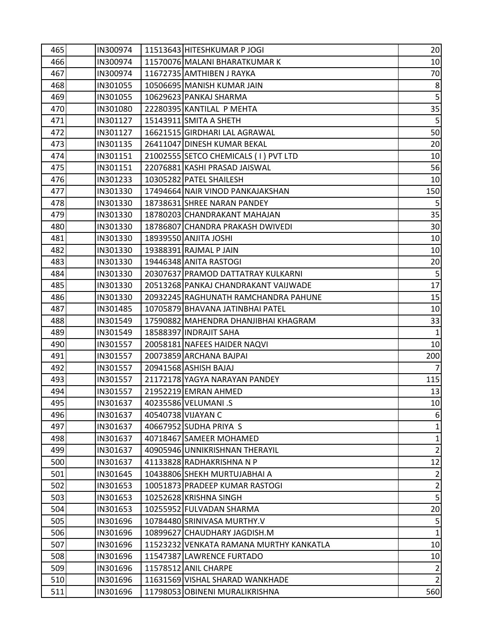| 465 | IN300974 | 11513643 HITESHKUMAR P JOGI             | 20               |
|-----|----------|-----------------------------------------|------------------|
| 466 | IN300974 | 11570076 MALANI BHARATKUMAR K           | 10               |
| 467 | IN300974 | 11672735 AMTHIBEN J RAYKA               | 70               |
| 468 | IN301055 | 10506695 MANISH KUMAR JAIN              | $\boldsymbol{8}$ |
| 469 | IN301055 | 10629623 PANKAJ SHARMA                  | $\overline{5}$   |
| 470 | IN301080 | 22280395 KANTILAL P MEHTA               | 35               |
| 471 | IN301127 | 15143911 SMITA A SHETH                  | $\overline{5}$   |
| 472 | IN301127 | 16621515 GIRDHARI LAL AGRAWAL           | 50               |
| 473 | IN301135 | 26411047 DINESH KUMAR BEKAL             | 20               |
| 474 | IN301151 | 21002555 SETCO CHEMICALS (1) PVT LTD    | 10               |
| 475 | IN301151 | 22076881 KASHI PRASAD JAISWAL           | 56               |
| 476 | IN301233 | 10305282 PATEL SHAILESH                 | 10               |
| 477 | IN301330 | 17494664 NAIR VINOD PANKAJAKSHAN        | 150              |
| 478 | IN301330 | 18738631 SHREE NARAN PANDEY             | 5                |
| 479 | IN301330 | 18780203 CHANDRAKANT MAHAJAN            | 35               |
| 480 | IN301330 | 18786807 CHANDRA PRAKASH DWIVEDI        | 30               |
| 481 | IN301330 | 18939550 ANJITA JOSHI                   | 10               |
| 482 | IN301330 | 19388391 RAJMAL P JAIN                  | 10               |
| 483 | IN301330 | 19446348 ANITA RASTOGI                  | 20               |
| 484 | IN301330 | 20307637 PRAMOD DATTATRAY KULKARNI      | $5\overline{)}$  |
| 485 | IN301330 | 20513268 PANKAJ CHANDRAKANT VAIJWADE    | 17               |
| 486 | IN301330 | 20932245 RAGHUNATH RAMCHANDRA PAHUNE    | 15               |
| 487 | IN301485 | 10705879 BHAVANA JATINBHAI PATEL        | 10               |
| 488 | IN301549 | 17590882 MAHENDRA DHANJIBHAI KHAGRAM    | 33               |
| 489 | IN301549 | 18588397 INDRAJIT SAHA                  | $\mathbf{1}$     |
| 490 | IN301557 | 20058181 NAFEES HAIDER NAQVI            | 10               |
| 491 | IN301557 | 20073859 ARCHANA BAJPAI                 | 200              |
| 492 | IN301557 | 20941568 ASHISH BAJAJ                   | $\overline{7}$   |
| 493 | IN301557 | 21172178 YAGYA NARAYAN PANDEY           | 115              |
| 494 | IN301557 | 21952219 EMRAN AHMED                    | 13               |
| 495 | IN301637 | 40235586 VELUMANI .S                    | 10 <sup>1</sup>  |
| 496 | IN301637 | 40540738 VIJAYAN C                      | $6\vert$         |
| 497 | IN301637 | 40667952 SUDHA PRIYA S                  | $\mathbf{1}$     |
| 498 | IN301637 | 40718467 SAMEER MOHAMED                 | $\mathbf{1}$     |
| 499 | IN301637 | 40905946 UNNIKRISHNAN THERAYIL          | $\overline{2}$   |
| 500 | IN301637 | 41133828 RADHAKRISHNA N P               | 12               |
| 501 | IN301645 | 10438806 SHEKH MURTUJABHAI A            | $\overline{2}$   |
| 502 | IN301653 | 10051873 PRADEEP KUMAR RASTOGI          | $\overline{2}$   |
| 503 | IN301653 | 10252628 KRISHNA SINGH                  | $\overline{5}$   |
| 504 | IN301653 | 10255952 FULVADAN SHARMA                | 20               |
| 505 | IN301696 | 10784480 SRINIVASA MURTHY.V             | 5 <sub>l</sub>   |
| 506 | IN301696 | 10899627 CHAUDHARY JAGDISH.M            |                  |
| 507 | IN301696 | 11523232 VENKATA RAMANA MURTHY KANKATLA | 10               |
| 508 | IN301696 | 11547387 LAWRENCE FURTADO               | 10               |
| 509 | IN301696 | 11578512 ANIL CHARPE                    | $\overline{2}$   |
| 510 | IN301696 | 11631569 VISHAL SHARAD WANKHADE         | $\overline{2}$   |
| 511 | IN301696 | 11798053 OBINENI MURALIKRISHNA          | 560              |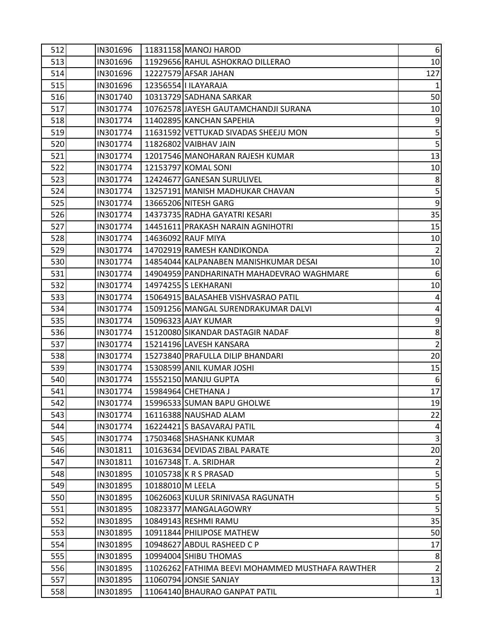| 512 | IN301696 |                  | 11831158 MANOJ HAROD                             | $6 \mid$                |
|-----|----------|------------------|--------------------------------------------------|-------------------------|
| 513 | IN301696 |                  | 11929656 RAHUL ASHOKRAO DILLERAO                 | 10 <sup>1</sup>         |
| 514 | IN301696 |                  | 12227579 AFSAR JAHAN                             | 127                     |
| 515 | IN301696 |                  | 12356554   ILAYARAJA                             |                         |
| 516 | IN301740 |                  | 10313729 SADHANA SARKAR                          | 50                      |
| 517 | IN301774 |                  | 10762578 JAYESH GAUTAMCHANDJI SURANA             | 10                      |
| 518 | IN301774 |                  | 11402895 KANCHAN SAPEHIA                         | $9$                     |
| 519 | IN301774 |                  | 11631592 VETTUKAD SIVADAS SHEEJU MON             | $\overline{5}$          |
| 520 | IN301774 |                  | 11826802 VAIBHAV JAIN                            | $\overline{\mathbf{5}}$ |
| 521 | IN301774 |                  | 12017546 MANOHARAN RAJESH KUMAR                  | 13                      |
| 522 | IN301774 |                  | 12153797 KOMAL SONI                              | 10                      |
| 523 | IN301774 |                  | 12424677 GANESAN SURULIVEL                       | $\bf 8$                 |
| 524 | IN301774 |                  | 13257191 MANISH MADHUKAR CHAVAN                  | $\mathbf{5}$            |
| 525 | IN301774 |                  | 13665206 NITESH GARG                             | $\overline{9}$          |
| 526 | IN301774 |                  | 14373735 RADHA GAYATRI KESARI                    | 35                      |
| 527 | IN301774 |                  | 14451611 PRAKASH NARAIN AGNIHOTRI                | 15                      |
| 528 | IN301774 |                  | 14636092 RAUF MIYA                               | 10                      |
| 529 | IN301774 |                  | 14702919 RAMESH KANDIKONDA                       | $\overline{2}$          |
| 530 | IN301774 |                  | 14854044 KALPANABEN MANISHKUMAR DESAI            | 10                      |
| 531 | IN301774 |                  | 14904959 PANDHARINATH MAHADEVRAO WAGHMARE        | $6 \mid$                |
| 532 | IN301774 |                  | 14974255 S LEKHARANI                             | 10 <sup>1</sup>         |
| 533 | IN301774 |                  | 15064915 BALASAHEB VISHVASRAO PATIL              | $\overline{4}$          |
| 534 | IN301774 |                  | 15091256 MANGAL SURENDRAKUMAR DALVI              | $\overline{4}$          |
| 535 | IN301774 |                  | 15096323 AJAY KUMAR                              | $9$                     |
| 536 | IN301774 |                  | 15120080 SIKANDAR DASTAGIR NADAF                 | $\bf 8$                 |
| 537 | IN301774 |                  | 15214196 LAVESH KANSARA                          | $\overline{2}$          |
| 538 | IN301774 |                  | 15273840 PRAFULLA DILIP BHANDARI                 | 20                      |
| 539 | IN301774 |                  | 15308599 ANIL KUMAR JOSHI                        | 15                      |
| 540 | IN301774 |                  | 15552150 MANJU GUPTA                             | $6 \overline{6}$        |
| 541 | IN301774 |                  | 15984964 CHETHANA J                              | 17                      |
| 542 | IN301774 |                  | 15996533 SUMAN BAPU GHOLWE                       | 19                      |
| 543 | IN301774 |                  | 16116388 NAUSHAD ALAM                            | 22                      |
| 544 | IN301774 |                  | 16224421 S BASAVARAJ PATIL                       | $\overline{4}$          |
| 545 | IN301774 |                  | 17503468 SHASHANK KUMAR                          | $\overline{3}$          |
| 546 | IN301811 |                  | 10163634 DEVIDAS ZIBAL PARATE                    | 20                      |
| 547 | IN301811 |                  | 10167348 T. A. SRIDHAR                           | 2                       |
| 548 | IN301895 |                  | 10105738 K R S PRASAD                            | $\mathbf{5}$            |
| 549 | IN301895 | 10188010 M LEELA |                                                  | $\overline{5}$          |
| 550 | IN301895 |                  | 10626063 KULUR SRINIVASA RAGUNATH                | $\overline{5}$          |
| 551 | IN301895 |                  | 10823377 MANGALAGOWRY                            | $\overline{\mathbf{5}}$ |
| 552 | IN301895 |                  | 10849143 RESHMI RAMU                             | 35                      |
| 553 | IN301895 |                  | 10911844 PHILIPOSE MATHEW                        | 50                      |
| 554 | IN301895 |                  | 10948627 ABDUL RASHEED C P                       | 17                      |
| 555 | IN301895 |                  | 10994004 SHIBU THOMAS                            | $\bf 8$                 |
| 556 | IN301895 |                  | 11026262 FATHIMA BEEVI MOHAMMED MUSTHAFA RAWTHER | $\overline{2}$          |
| 557 | IN301895 |                  | 11060794 JONSIE SANJAY                           | 13                      |
| 558 | IN301895 |                  | 11064140 BHAURAO GANPAT PATIL                    | 1                       |